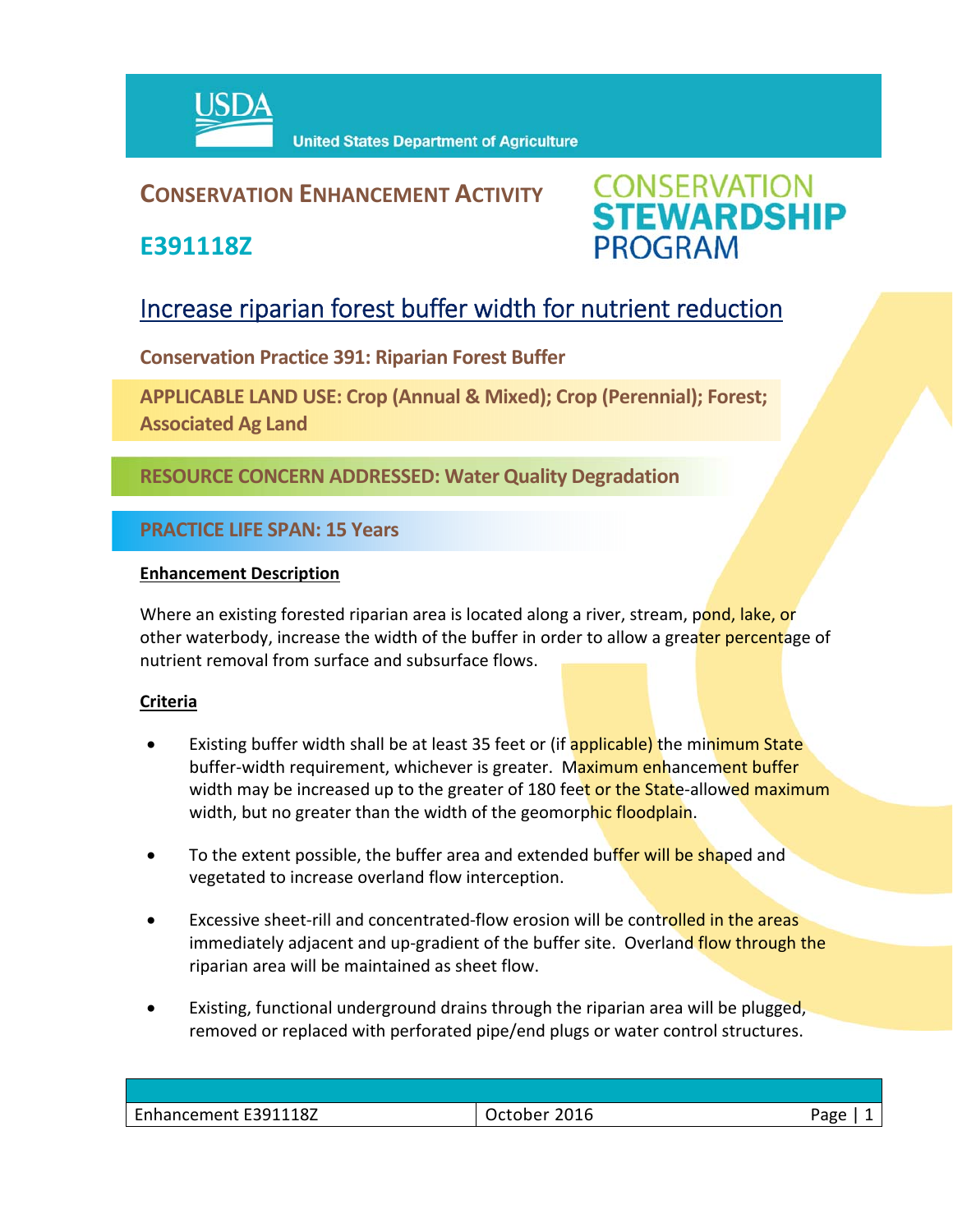

### **CONSERVATION ENHANCEMENT ACTIVITY**

**E391118Z**



## Increase riparian forest buffer width for nutrient reduction

**Conservation Practice 391: Riparian Forest Buffer** 

**APPLICABLE LAND USE: Crop (Annual & Mixed); Crop (Perennial); Forest; Associated Ag Land**

**RESOURCE CONCERN ADDRESSED: Water Quality Degradation**

**PRACTICE LIFE SPAN: 15 Years**

#### **Enhancement Description**

Where an existing forested riparian area is located along a river, stream, pond, lake, or other waterbody, increase the width of the buffer in order to allow a greater percentage of nutrient removal from surface and subsurface flows.

#### **Criteria**

- Existing buffer width shall be at least 35 feet or (if applicable) the minimum State buffer-width requirement, whichever is greater. Maximum enhancement buffer width may be increased up to the greater of 180 feet or the State-allowed maximum width, but no greater than the width of the geomorphic floodplain.
- To the extent possible, the buffer area and extended buffer will be shaped and vegetated to increase overland flow interception.
- Excessive sheet-rill and concentrated-flow erosion will be controlled in the areas immediately adjacent and up-gradient of the buffer site. Overland flow through the riparian area will be maintained as sheet flow.
- Existing, functional underground drains through the riparian area will be plugged, removed or replaced with perforated pipe/end plugs or water control structures.

| Enhancement E391118Z | 2016<br>Jctober | Page |
|----------------------|-----------------|------|
|                      |                 |      |